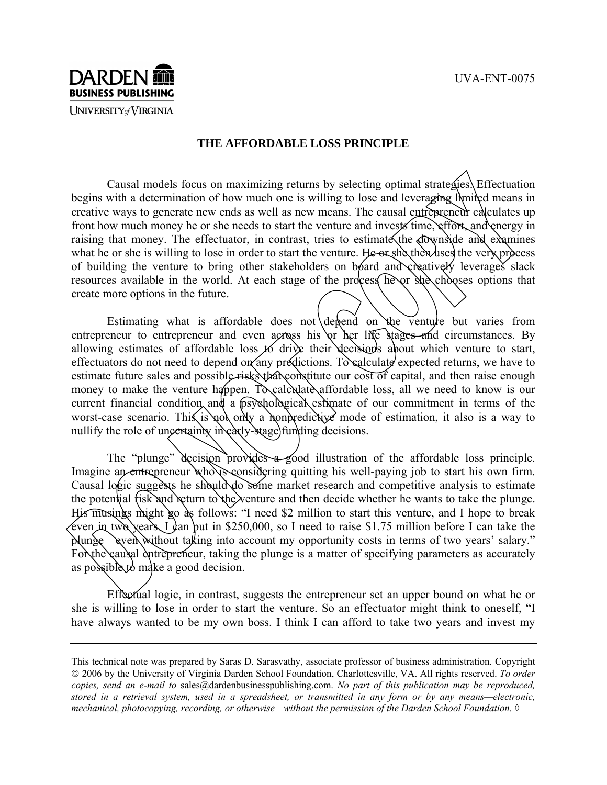

### **THE AFFORDABLE LOSS PRINCIPLE**

Causal models focus on maximizing returns by selecting optimal strategies. Effectuation begins with a determination of how much one is willing to lose and leveraging limited means in creative ways to generate new ends as well as new means. The causal entrepreneur calculates up front how much money he or she needs to start the venture and invests time, effort, and energy in raising that money. The effectuator, in contrast, tries to estimate the downside and examines what he or she is willing to lose in order to start the venture. He exshethen uses the very process of building the venture to bring other stakeholders on board and creatively leverages slack resources available in the world. At each stage of the process he or she chooses options that create more options in the future.

Estimating what is affordable does not depend on the venture but varies from entrepreneur to entrepreneur and even across his or her life stages and circumstances. By allowing estimates of affordable loss to drive their decisions about which venture to start, effectuators do not need to depend on any predictions. To calculate expected returns, we have to estimate future sales and possible risks that constitute our cost of capital, and then raise enough money to make the venture happen. To calculate affordable loss, all we need to know is our current financial condition, and a psychological estimate of our commitment in terms of the worst-case scenario. This is not only a nonpredictive mode of estimation, it also is a way to nullify the role of uncertainty in early-stage funding decisions.

The "plunge" decision provides a good illustration of the affordable loss principle. Imagine an entrepreneur who is considering quitting his well-paying job to start his own firm. Causal logic suggests he should do some market research and competitive analysis to estimate the potential fisk and return to the *x* enture and then decide whether he wants to take the plunge. His musings might go as follows: "I need \$2 million to start this venture, and I hope to break even in two years. I can put in \$250,000, so I need to raise \$1.75 million before I can take the plunge—even without taking into account my opportunity costs in terms of two years' salary." For the causal entrepreneur, taking the plunge is a matter of specifying parameters as accurately as possible to make a good decision.

Effectual logic, in contrast, suggests the entrepreneur set an upper bound on what he or she is willing to lose in order to start the venture. So an effectuator might think to oneself, "I have always wanted to be my own boss. I think I can afford to take two years and invest my

This technical note was prepared by Saras D. Sarasvathy, associate professor of business administration. Copyright © 2006 by the University of Virginia Darden School Foundation, Charlottesville, VA. All rights reserved. *To order copies, send an e-mail to* sales@dardenbusinesspublishing.com. *No part of this publication may be reproduced, stored in a retrieval system, used in a spreadsheet, or transmitted in any form or by any means—electronic, mechanical, photocopying, recording, or otherwise—without the permission of the Darden School Foundation. ◊*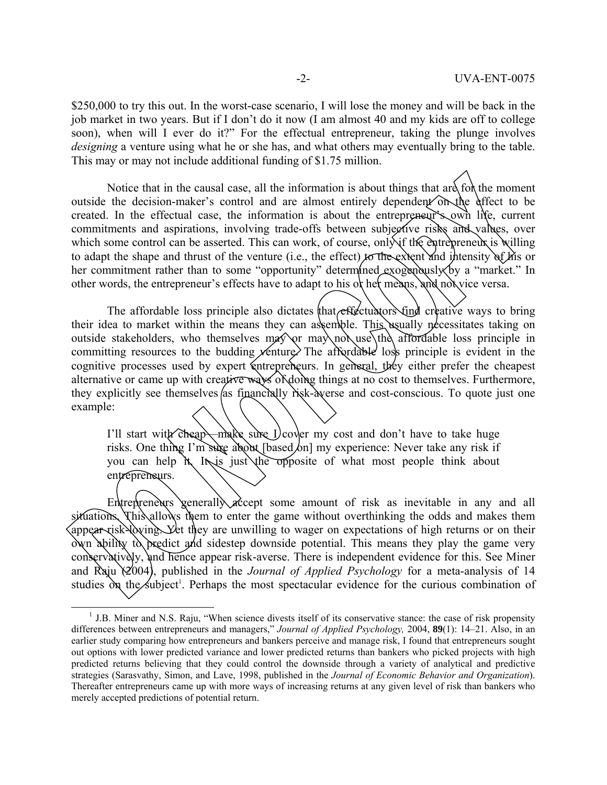\$250,000 to try this out. In the worst-case scenario, I will lose the money and will be back in the job market in two years. But if I don't do it now (I am almost 40 and my kids are off to college soon), when will I ever do it?" For the effectual entrepreneur, taking the plunge involves *designing* a venture using what he or she has, and what others may eventually bring to the table. This may or may not include additional funding of \$1.75 million.

Notice that in the causal case, all the information is about things that are  $f(x)$  the moment outside the decision-maker's control and are almost entirely dependent  $\delta$ . The effect to be created. In the effectual case, the information is about the entrepreneur's own life, current commitments and aspirations, involving trade-offs between subjective risks and values, over which some control can be asserted. This can work, of course, only if the entrepreneur is willing to adapt the shape and thrust of the venture (i.e., the effect) to the extent and intensity of  $\hat{R}$  is or her commitment rather than to some "opportunity" determined exogenously by a "market." In other words, the entrepreneur's effects have to adapt to his or her means, and not vice versa.

The affordable loss principle also dictates that  $\epsilon$  for example of example ways to bring their idea to market within the means they can assemble. This usually necessitates taking on outside stakeholders, who themselves may or may not use the affordable loss principle in committing resources to the budding  $\chi$  enture. The affordable loss principle is evident in the cognitive processes used by expert entrepreneurs. In general, they either prefer the cheapest alternative or came up with creative ways of doing things at no cost to themselves. Furthermore, they explicitly see themselves as financially risk-averse and cost-conscious. To quote just one example:

I'll start with cheap—make sure U cover my cost and don't have to take huge risks. One thing I'm sure about [based on] my experience: Never take any risk if you can help it. It is just the opposite of what most people think about entrepreneurs.

Entrepreneurs generally accept some amount of risk as inevitable in any and all situations. This allows them to enter the game without overthinking the odds and makes them appear risk-loving. Yet they are unwilling to wager on expectations of high returns or on their own ability to predict and sidestep downside potential. This means they play the game very conservatively, and hence appear risk-averse. There is independent evidence for this. See Miner and Raju (2004), published in the *Journal of Applied Psychology* for a meta-analysis of 14 studies  $\delta$  the subject<sup>1</sup>. Perhaps the most spectacular evidence for the curious combination of

 <sup>1</sup> <sup>1</sup> J.B. Miner and N.S. Raju, "When science divests itself of its conservative stance: the case of risk propensity differences between entrepreneurs and managers," *Journal of Applied Psychology,* 2004, **89**(1): 14–21. Also, in an earlier study comparing how entrepreneurs and bankers perceive and manage risk, I found that entrepreneurs sought out options with lower predicted variance and lower predicted returns than bankers who picked projects with high predicted returns believing that they could control the downside through a variety of analytical and predictive strategies (Sarasvathy, Simon, and Lave, 1998, published in the *Journal of Economic Behavior and Organization*). Thereafter entrepreneurs came up with more ways of increasing returns at any given level of risk than bankers who merely accepted predictions of potential return.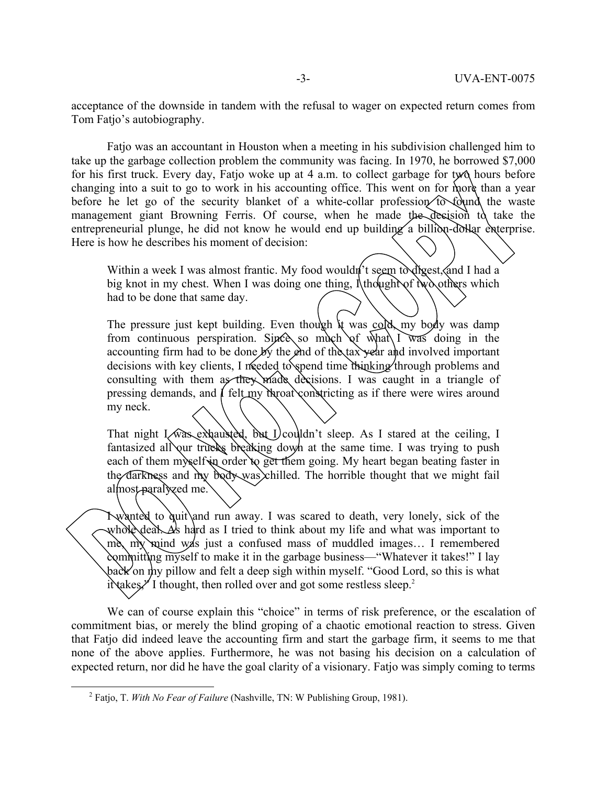acceptance of the downside in tandem with the refusal to wager on expected return comes from Tom Fatjo's autobiography.

Fatjo was an accountant in Houston when a meeting in his subdivision challenged him to take up the garbage collection problem the community was facing. In 1970, he borrowed \$7,000 for his first truck. Every day, Fatjo woke up at 4 a.m. to collect garbage for two hours before changing into a suit to go to work in his accounting office. This went on for more than a year before he let go of the security blanket of a white-collar profession to  $\phi$  found the waste management giant Browning Ferris. Of course, when he made the decision to take the entrepreneurial plunge, he did not know he would end up building a billion-dollar enterprise. Here is how he describes his moment of decision:

Within a week I was almost frantic. My food wouldn't seem to digest, and I had a big knot in my chest. When I was doing one thing,  $\Lambda$ thought of two others which had to be done that same day.

The pressure just kept building. Even though it was cold, my body was damp from continuous perspiration. Since so much of what I was doing in the accounting firm had to be done by the end of the tax year and involved important decisions with key clients, I needed to spend time thinking through problems and consulting with them as they made decisions. I was caught in a triangle of pressing demands, and  $\int$  felt my throat constricting as if there were wires around my neck.

That night  $I\lll$  as exhausted, but  $I$  couldn't sleep. As I stared at the ceiling, I fantasized all our trucks breaking down at the same time. I was trying to push each of them myself in order to get them going. My heart began beating faster in the darkness and my body was chilled. The horrible thought that we might fail almost paralyzed me.

I wanted to quit and run away. I was scared to death, very lonely, sick of the whole deal. As hard as I tried to think about my life and what was important to me, my mind was just a confused mass of muddled images... I remembered committing myself to make it in the garbage business—"Whatever it takes!" I lay back on my pillow and felt a deep sigh within myself. "Good Lord, so this is what it takes,<sup> $\chi$ </sup> I thought, then rolled over and got some restless sleep.<sup>2</sup>

We can of course explain this "choice" in terms of risk preference, or the escalation of commitment bias, or merely the blind groping of a chaotic emotional reaction to stress. Given that Fatjo did indeed leave the accounting firm and start the garbage firm, it seems to me that none of the above applies. Furthermore, he was not basing his decision on a calculation of expected return, nor did he have the goal clarity of a visionary. Fatjo was simply coming to terms

 $\frac{1}{2}$ Fatjo, T. *With No Fear of Failure* (Nashville, TN: W Publishing Group, 1981).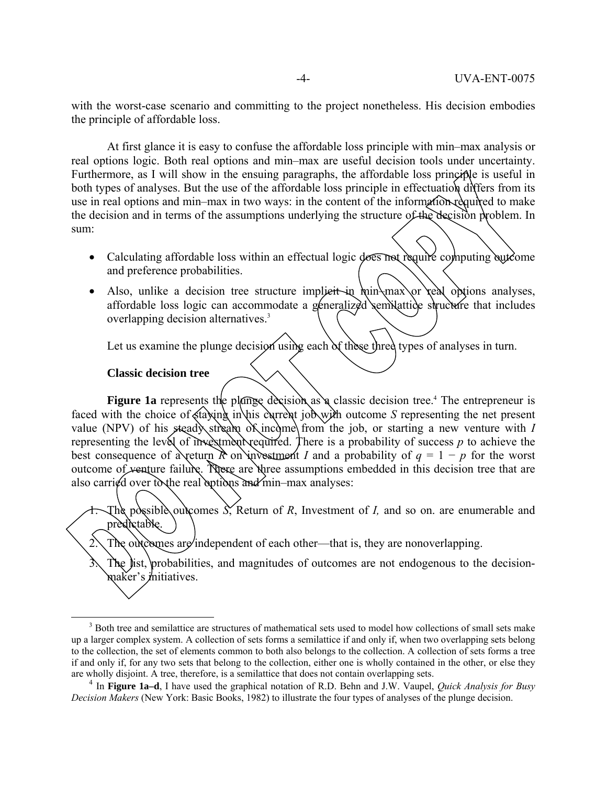with the worst-case scenario and committing to the project nonetheless. His decision embodies the principle of affordable loss.

At first glance it is easy to confuse the affordable loss principle with min–max analysis or real options logic. Both real options and min–max are useful decision tools under uncertainty. Furthermore, as I will show in the ensuing paragraphs, the affordable loss principle is useful in both types of analyses. But the use of the affordable loss principle in effectuation differs from its use in real options and min–max in two ways: in the content of the information required to make the decision and in terms of the assumptions underlying the structure of the decision problem. In sum:

- Calculating affordable loss within an effectual logic does not require computing outcome and preference probabilities.
- Also, unlike a decision tree structure implicit in  $min\{max\}$  real options analyses, affordable loss logic can accommodate a géneralized semilattice structure that includes overlapping decision alternatives.<sup>3</sup>

Let us examine the plunge decision using each of these three types of analyses in turn.

# **Classic decision tree**

**Figure 1a** represents the plange decision as a classic decision tree.<sup>4</sup> The entrepreneur is faced with the choice of staying in his current job with outcome *S* representing the net present value (NPV) of his steady stream of income from the job, or starting a new venture with *I* representing the level of investment required. There is a probability of success  $p$  to achieve the best consequence of a return  $\hat{R}$  on investment *I* and a probability of  $q = 1 - p$  for the worst outcome of venture failure. There are three assumptions embedded in this decision tree that are also carried over to the real options and min-max analyses:

1. The possible outcomes *S*, Return of *R*, Investment of *I,* and so on. are enumerable and predictable.

The outcomes are independent of each other—that is, they are nonoverlapping.

The list, probabilities, and magnitudes of outcomes are not endogenous to the decisionmaker's *i*nitiatives.

 $\frac{1}{3}$ <sup>3</sup> Both tree and semilattice are structures of mathematical sets used to model how collections of small sets make up a larger complex system. A collection of sets forms a semilattice if and only if, when two overlapping sets belong to the collection, the set of elements common to both also belongs to the collection. A collection of sets forms a tree if and only if, for any two sets that belong to the collection, either one is wholly contained in the other, or else they are wholly disjoint. A tree, therefore, is a semilattice that does not contain overlapping sets.

<sup>4</sup> In **Figure 1a–d**, I have used the graphical notation of R.D. Behn and J.W. Vaupel, *Quick Analysis for Busy Decision Makers* (New York: Basic Books, 1982) to illustrate the four types of analyses of the plunge decision.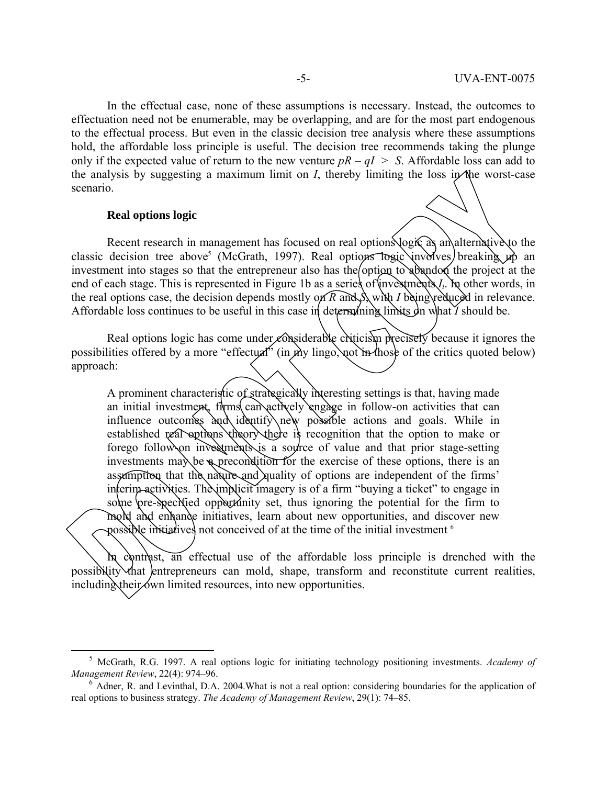In the effectual case, none of these assumptions is necessary. Instead, the outcomes to effectuation need not be enumerable, may be overlapping, and are for the most part endogenous to the effectual process. But even in the classic decision tree analysis where these assumptions hold, the affordable loss principle is useful. The decision tree recommends taking the plunge only if the expected value of return to the new venture  $pR - qI > S$ . Affordable loss can add to the analysis by suggesting a maximum limit on  $I$ , thereby limiting the loss in the worst-case scenario.

### **Real options logic**

Recent research in management has focused on real options logic as an alternative to the classic decision tree above<sup>5</sup> (McGrath, 1997). Real options logic involves breaking up an investment into stages so that the entrepreneur also has the option to abandon the project at the end of each stage. This is represented in Figure 1b as a series of investments *Ii*. In other words, in the real options case, the decision depends mostly on  $\overline{R}$  and  $\overline{S}$ , with *I* being reduced in relevance. Affordable loss continues to be useful in this case in determining limits  $\phi$  what  $\check{\gamma}$  should be.

Real options logic has come under considerable criticism precisely because it ignores the possibilities offered by a more "effectual" (in my lingo, not in those of the critics quoted below) approach:

A prominent characteristic of strategically interesting settings is that, having made an initial investment, firms can actively engage in follow-on activities that can influence outcomes and identify new possible actions and goals. While in established real options theory there is recognition that the option to make or forego follow-on investments is a source of value and that prior stage-setting investments may be a precondition for the exercise of these options, there is an assumption that the nature and quality of options are independent of the firms' interim activities. The implicit imagery is of a firm "buying a ticket" to engage in some pre-specified opportunity set, thus ignoring the potential for the firm to mold and enhance initiatives, learn about new opportunities, and discover new possible initiatives not conceived of at the time of the initial investment <sup>6</sup>

In contrast, an effectual use of the affordable loss principle is drenched with the possibility that entrepreneurs can mold, shape, transform and reconstitute current realities,  $inclusion$  limited resources, into new opportunities.

 <sup>5</sup> McGrath, R.G. 1997. A real options logic for initiating technology positioning investments. *Academy of Management Review*, 22(4): 974–96.

<sup>&</sup>lt;sup>6</sup> Adner, R. and Levinthal, D.A. 2004. What is not a real option: considering boundaries for the application of real options to business strategy. *The Academy of Management Review*, 29(1): 74–85.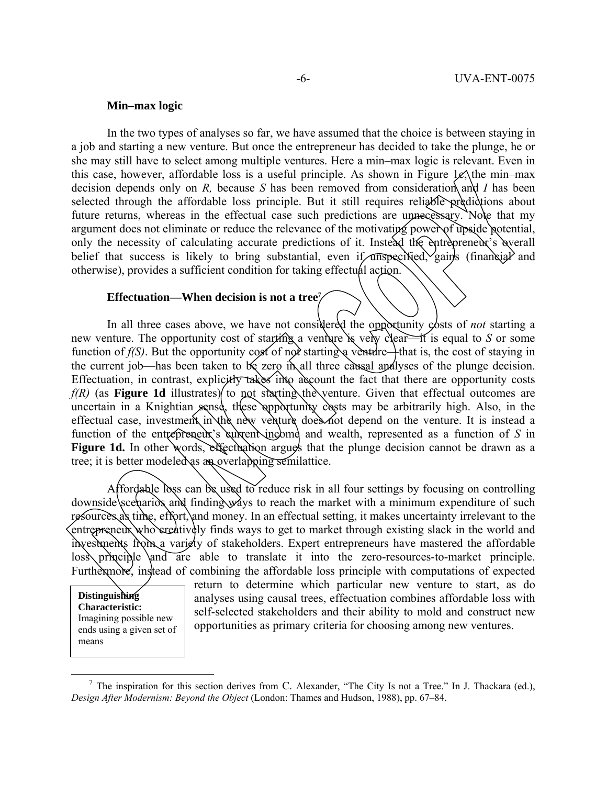## **Min–max logic**

In the two types of analyses so far, we have assumed that the choice is between staying in a job and starting a new venture. But once the entrepreneur has decided to take the plunge, he or she may still have to select among multiple ventures. Here a min–max logic is relevant. Even in this case, however, affordable loss is a useful principle. As shown in Figure  $1e^{\lambda}$  the min–max decision depends only on  $R$ , because  $S$  has been removed from consideration and  $I$  has been selected through the affordable loss principle. But it still requires reliable predictions about future returns, whereas in the effectual case such predictions are unnecessary. Note that my argument does not eliminate or reduce the relevance of the motivating power of upside potential, only the necessity of calculating accurate predictions of it. Instead the entrepreneur's overall belief that success is likely to bring substantial, even if  $\pi$ specified, gains (financial and otherwise), provides a sufficient condition for taking effectual action.

#### **Effectuation—When decision is not a tree7**

In all three cases above, we have not considered the opportunity costs of *not* starting a new venture. The opportunity cost of starting a venture is very clear—it is equal to *S* or some function of  $f(S)$ . But the opportunity cost of not starting a venture—that is, the cost of staying in the current job—has been taken to be zero in all three causal analyses of the plunge decision. Effectuation, in contrast, explicitly takes into account the fact that there are opportunity costs  $f(R)$  (as **Figure 1d** illustrates) to not starting the venture. Given that effectual outcomes are uncertain in a Knightian sense, these opportunity costs may be arbitrarily high. Also, in the effectual case, investment in the new venture does not depend on the venture. It is instead a function of the entrepreneur's current income and wealth, represented as a function of *S* in Figure 1d. In other words, effectuation argues that the plunge decision cannot be drawn as a tree; it is better modeled as an overlapping semilattice.

Affordable loss can be used to reduce risk in all four settings by focusing on controlling downside scenarios and finding ways to reach the market with a minimum expenditure of such resources as time, effort, and money. In an effectual setting, it makes uncertainty irrelevant to the entrepreneur who creatively finds ways to get to market through existing slack in the world and investments from a variety of stakeholders. Expert entrepreneurs have mastered the affordable loss, principle and are able to translate it into the zero-resources-to-market principle. Furthermore, instead of combining the affordable loss principle with computations of expected

**Distinguishing Characteristic:**  Imagining possible new ends using a given set of means

return to determine which particular new venture to start, as do analyses using causal trees, effectuation combines affordable loss with self-selected stakeholders and their ability to mold and construct new opportunities as primary criteria for choosing among new ventures.

 $<sup>7</sup>$  The inspiration for this section derives from C. Alexander, "The City Is not a Tree." In J. Thackara (ed.),</sup> *Design After Modernism: Beyond the Object* (London: Thames and Hudson, 1988), pp. 67–84.